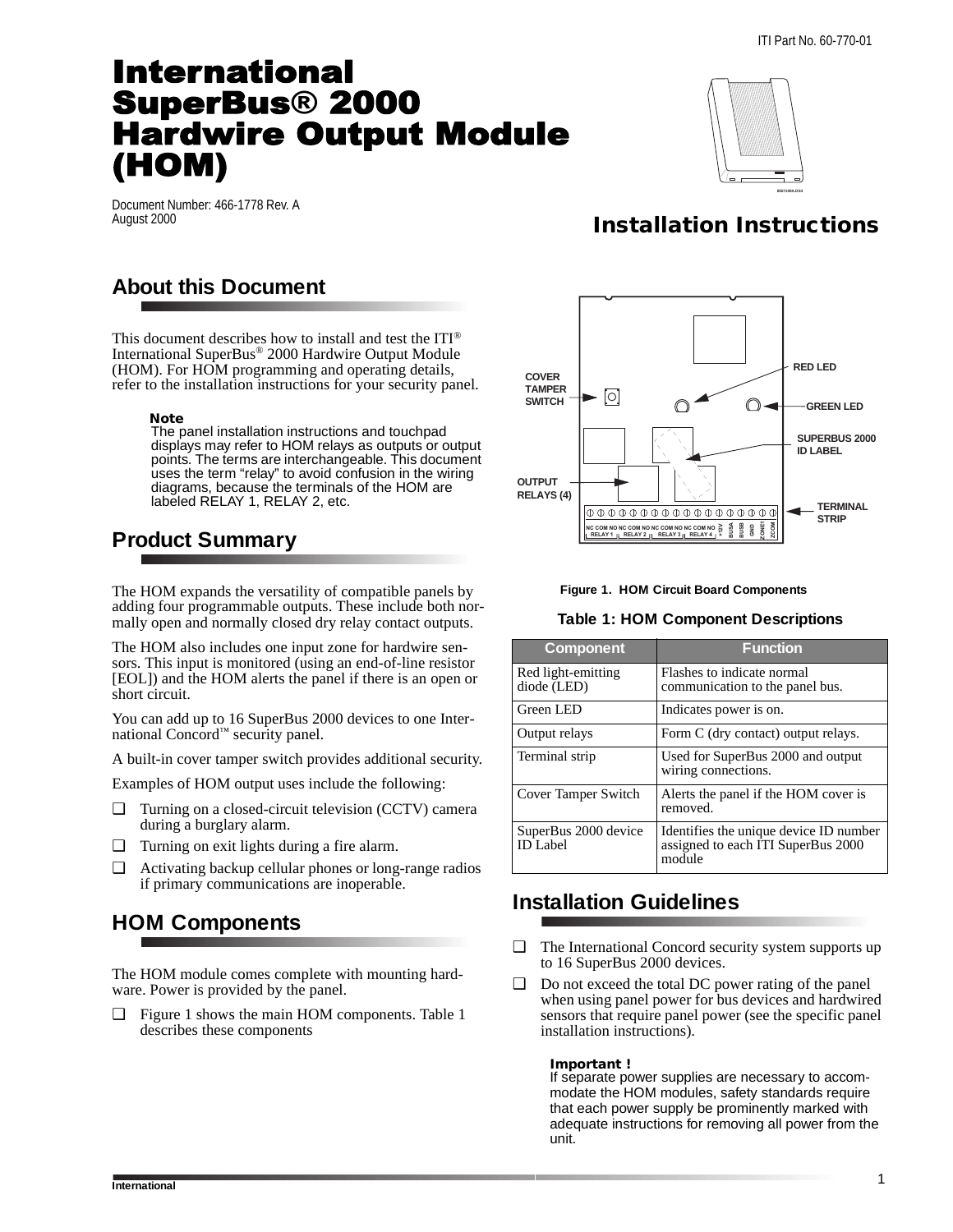# **International** SuperBus® 2000 **Hardwire Output Module** (HOM)



Document Number: 466-1778 Rev. A August 2000

# **About this Document**

This document describes how to install and test the ITI® International SuperBus® 2000 Hardwire Output Module (HOM). For HOM programming and operating details, refer to the installation instructions for your security panel.

#### **Note**

The panel installation instructions and touchpad displays may refer to HOM relays as outputs or output points. The terms are interchangeable. This document uses the term "relay" to avoid confusion in the wiring diagrams, because the terminals of the HOM are labeled RELAY 1, RELAY 2, etc.

## **Product Summary**

The HOM expands the versatility of compatible panels by adding four programmable outputs. These include both normally open and normally closed dry relay contact outputs.

The HOM also includes one input zone for hardwire sensors. This input is monitored (using an end-of-line resistor [EOL]) and the HOM alerts the panel if there is an open or short circuit.

You can add up to 16 SuperBus 2000 devices to one International Concord™ security panel.

A built-in cover tamper switch provides additional security.

Examples of HOM output uses include the following:

- ❑ Turning on a closed-circuit television (CCTV) camera during a burglary alarm.
- ❑ Turning on exit lights during a fire alarm.
- ❑ Activating backup cellular phones or long-range radios if primary communications are inoperable.

# **HOM Components**

The HOM module comes complete with mounting hardware. Power is provided by the panel.

❑ Figure 1 shows the main HOM components. Table 1 describes these components

# **Installation Instructions**



#### **Figure 1. HOM Circuit Board Components**

#### **Table 1: HOM Component Descriptions**

| <b>Component</b>                        | <b>Function</b>                                                                        |
|-----------------------------------------|----------------------------------------------------------------------------------------|
| Red light-emitting<br>diode (LED)       | Flashes to indicate normal<br>communication to the panel bus.                          |
| Green LED                               | Indicates power is on.                                                                 |
| Output relays                           | Form C (dry contact) output relays.                                                    |
| Terminal strip                          | Used for SuperBus 2000 and output<br>wiring connections.                               |
| Cover Tamper Switch                     | Alerts the panel if the HOM cover is<br>removed.                                       |
| SuperBus 2000 device<br><b>ID</b> Label | Identifies the unique device ID number<br>assigned to each ITI SuperBus 2000<br>module |

## **Installation Guidelines**

- ❑ The International Concord security system supports up to 16 SuperBus 2000 devices.
- ❑ Do not exceed the total DC power rating of the panel when using panel power for bus devices and hardwired sensors that require panel power (see the specific panel installation instructions).

#### **Important !**

If separate power supplies are necessary to accommodate the HOM modules, safety standards require that each power supply be prominently marked with adequate instructions for removing all power from the unit.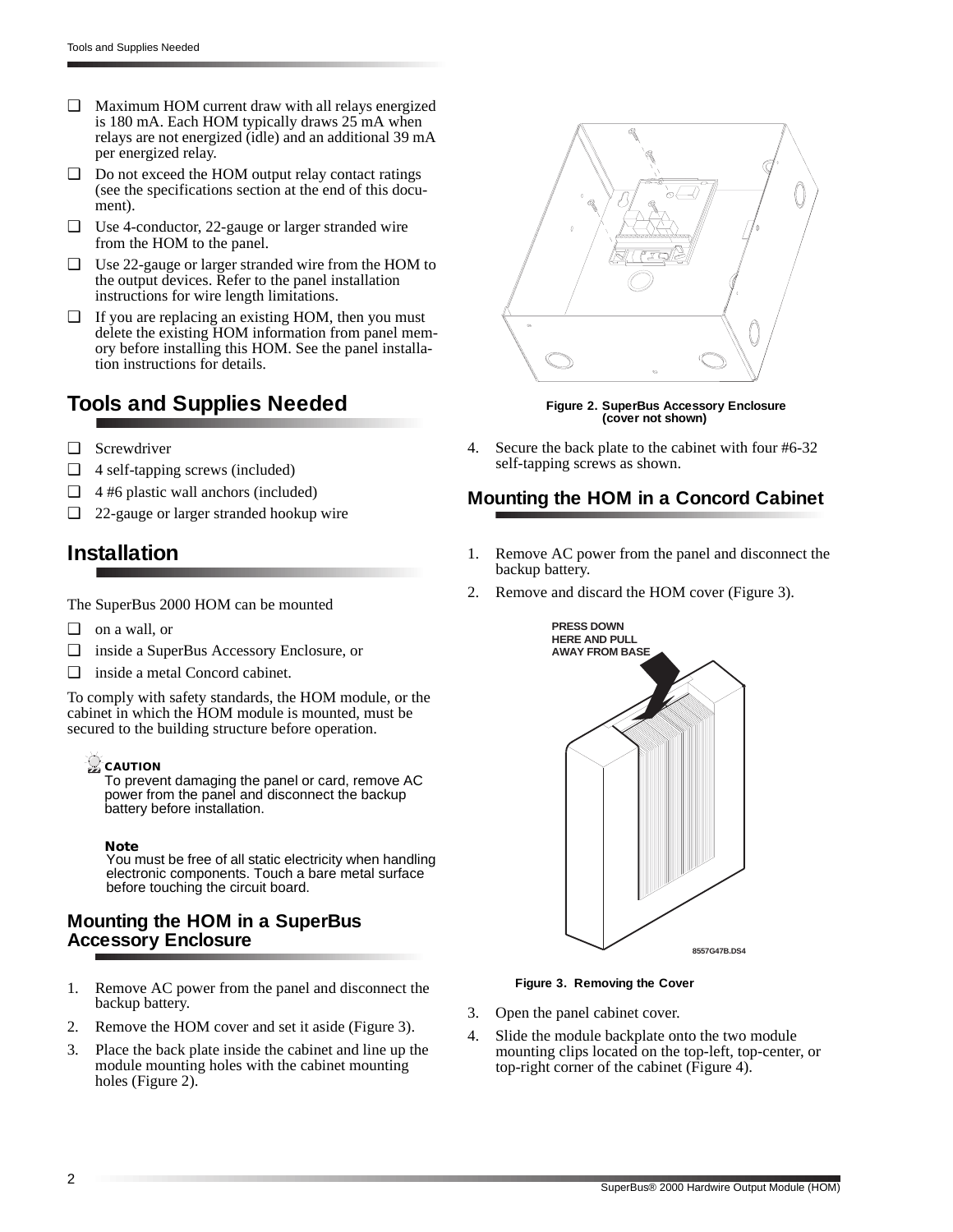- <span id="page-1-0"></span>❑ Maximum HOM current draw with all relays energized is 180 mA. Each HOM typically draws 25 mA when relays are not energized (idle) and an additional 39 mA per energized relay.
- ❑ Do not exceed the HOM output relay contact ratings (see the specifications section at the end of this document).
- ❑ Use 4-conductor, 22-gauge or larger stranded wire from the HOM to the panel.
- ❑ Use 22-gauge or larger stranded wire from the HOM to the output devices. Refer to the panel installation instructions for wire length limitations.
- $\Box$  If you are replacing an existing HOM, then you must delete the existing HOM information from panel memory before installing this HOM. See the panel installation instructions for details.

# **Tools and Supplies Needed**

- ❑ Screwdriver
- ❑ 4 self-tapping screws (included)
- $\Box$  4 #6 plastic wall anchors (included)
- ❑ 22-gauge or larger stranded hookup wire

## **Installation**

The SuperBus 2000 HOM can be mounted

- ❑ on a wall, or
- ❑ inside a SuperBus Accessory Enclosure, or
- ❑ inside a metal Concord cabinet.

To comply with safety standards, the HOM module, or the cabinet in which the HOM module is mounted, must be secured to the building structure before operation.

### **CAUTION**

To prevent damaging the panel or card, remove AC power from the panel and disconnect the backup battery before installation.

#### **Note**

You must be free of all static electricity when handling electronic components. Touch a bare metal surface before touching the circuit board.

### **Mounting the HOM in a SuperBus Accessory Enclosure**

- 1. Remove AC power from the panel and disconnect the backup battery.
- 2. Remove the HOM cover and set it aside (Figure 3).
- 3. Place the back plate inside the cabinet and line up the module mounting holes with the cabinet mounting holes (Figure 2).



**Figure 2. SuperBus Accessory Enclosure (cover not shown)**

Secure the back plate to the cabinet with four #6-32 self-tapping screws as shown.

### **Mounting the HOM in a Concord Cabinet**

- 1. Remove AC power from the panel and disconnect the backup battery.
- 2. Remove and discard the HOM cover (Figure 3).



#### **Figure 3. Removing the Cover**

- 3. Open the panel cabinet cover.
- 4. Slide the module backplate onto the two module mounting clips located on the top-left, top-center, or top-right corner of the cabinet [\(Figure 4\)](#page-2-0).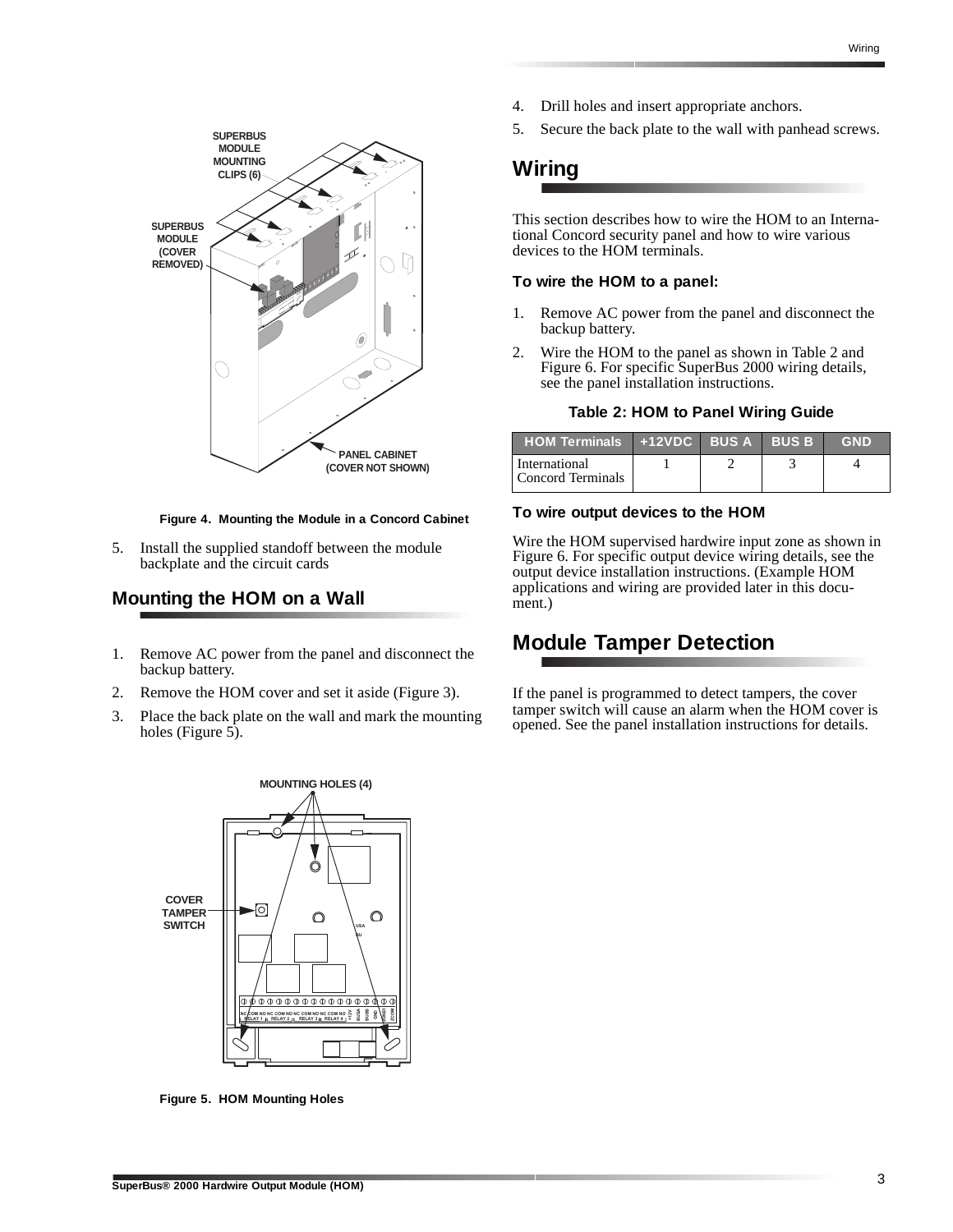<span id="page-2-0"></span>

#### **Figure 4. Mounting the Module in a Concord Cabinet**

5. Install the supplied standoff between the module backplate and the circuit cards

### **Mounting the HOM on a Wall**

- 1. Remove AC power from the panel and disconnect the backup battery.
- 2. Remove the HOM cover and set it aside [\(Figure 3](#page-1-0)).
- 3. Place the back plate on the wall and mark the mounting holes (Figure 5).



5. Secure the back plate to the wall with panhead screws.

### **Wiring**

This section describes how to wire the HOM to an International Concord security panel and how to wire various devices to the HOM terminals.

#### **To wire the HOM to a panel:**

- 1. Remove AC power from the panel and disconnect the backup battery.
- 2. Wire the HOM to the panel as shown in Table 2 and [Figure 6.](#page-3-0) For specific SuperBus 2000 wiring details, see the panel installation instructions.

#### **Table 2: HOM to Panel Wiring Guide**

| HOM Terminals   +12VDC   BUS A   BUS B    |  | <b>GND</b> |
|-------------------------------------------|--|------------|
| International<br><b>Concord Terminals</b> |  |            |

#### **To wire output devices to the HOM**

Wire the HOM supervised hardwire input zone as shown in [Figure 6.](#page-3-0) For specific output device wiring details, see the output device installation instructions. (Example HOM applications and wiring are provided later in this document.)

### **Module Tamper Detection**

If the panel is programmed to detect tampers, the cover tamper switch will cause an alarm when the HOM cover is opened. See the panel installation instructions for details.



**Figure 5. HOM Mounting Holes**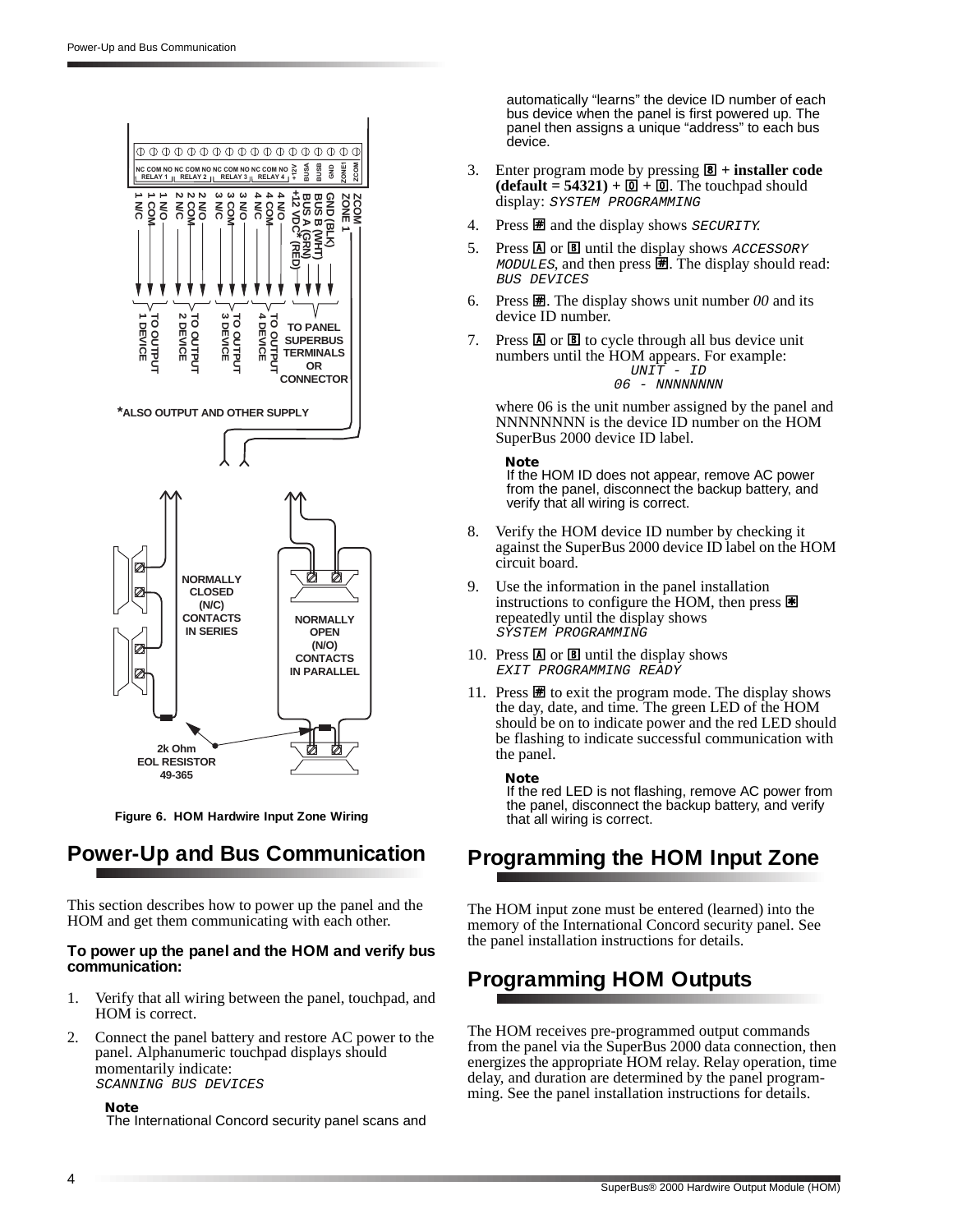<span id="page-3-0"></span>

**Figure 6. HOM Hardwire Input Zone Wiring**

## **Power-Up and Bus Communication**

This section describes how to power up the panel and the HOM and get them communicating with each other.

#### **To power up the panel and the HOM and verify bus communication:**

- 1. Verify that all wiring between the panel, touchpad, and HOM is correct.
- 2. Connect the panel battery and restore AC power to the panel. Alphanumeric touchpad displays should momentarily indicate: SCANNING BUS DEVICES

#### **Note**

The International Concord security panel scans and

automatically "learns" the device ID number of each bus device when the panel is first powered up. The panel then assigns a unique "address" to each bus device.

- 3. Enter program mode by pressing 8 **+ installer code (default = 54321)** +  $\overrightarrow{0}$  +  $\overrightarrow{0}$ . The touchpad should display: SYSTEM PROGRAMMING
- 4. Press  $\mathbf{\mathbf{\#}}$  and the display shows *SECURITY*.
- 5. Press **A** or **B** until the display shows ACCESSORY MODULES, and then press  $\hat{H}$ . The display should read: BUS DEVICES
- 6. Press  $\mathbf{H}$ . The display shows unit number 00 and its device ID number.
- 7. Press  $\overline{A}$  or  $\overline{B}$  to cycle through all bus device unit numbers until the HOM appears. For example:

$$
UNIT - ID \\ 06 - NNNNNNNN
$$

where 06 is the unit number assigned by the panel and NNNNNNNN is the device ID number on the HOM SuperBus 2000 device ID label.

#### **Note**

If the HOM ID does not appear, remove AC power from the panel, disconnect the backup battery, and verify that all wiring is correct.

- 8. Verify the HOM device ID number by checking it against the SuperBus 2000 device ID label on the HOM circuit board.
- 9. Use the information in the panel installation instructions to configure the HOM, then press  $\blacksquare$ repeatedly until the display shows SYSTEM PROGRAMMING
- 10. Press  $\overline{A}$  or  $\overline{B}$  until the display shows EXIT PROGRAMMING READY
- 11. Press  $\mathbf{\mathcal{F}}$  to exit the program mode. The display shows the day, date, and time*.* The green LED of the HOM should be on to indicate power and the red LED should be flashing to indicate successful communication with the panel.

#### **Note**

If the red LED is not flashing, remove AC power from the panel, disconnect the backup battery, and verify that all wiring is correct.

## **Programming the HOM Input Zone**

The HOM input zone must be entered (learned) into the memory of the International Concord security panel. See the panel installation instructions for details.

## **Programming HOM Outputs**

The HOM receives pre-programmed output commands from the panel via the SuperBus 2000 data connection, then energizes the appropriate HOM relay. Relay operation, time delay, and duration are determined by the panel programming. See the panel installation instructions for details.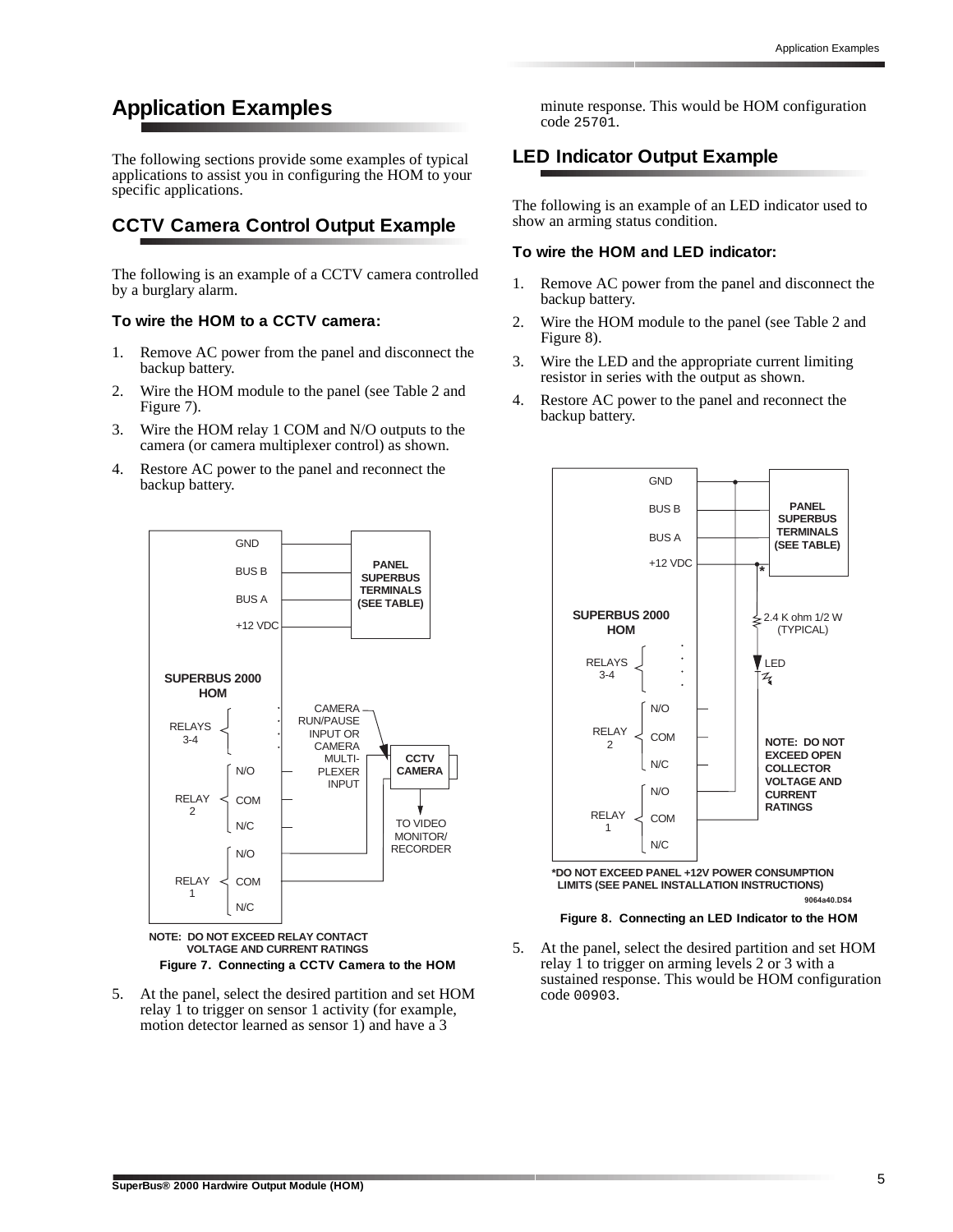## **Application Examples**

The following sections provide some examples of typical applications to assist you in configuring the HOM to your specific applications.

### **CCTV Camera Control Output Example**

The following is an example of a CCTV camera controlled by a burglary alarm.

#### **To wire the HOM to a CCTV camera:**

- 1. Remove AC power from the panel and disconnect the backup battery.
- 2. Wire the HOM module to the panel (see [Table 2](#page-2-0) and Figure 7).
- 3. Wire the HOM relay 1 COM and N/O outputs to the camera (or camera multiplexer control) as shown.
- 4. Restore AC power to the panel and reconnect the backup battery.

minute response. This would be HOM configuration code 25701.

### **LED Indicator Output Example**

The following is an example of an LED indicator used to show an arming status condition.

#### **To wire the HOM and LED indicator:**

- 1. Remove AC power from the panel and disconnect the backup battery.
- 2. Wire the HOM module to the panel (see [Table 2](#page-2-0) and Figure 8).
- 3. Wire the LED and the appropriate current limiting resistor in series with the output as shown.
- 4. Restore AC power to the panel and reconnect the backup battery.



5. At the panel, select the desired partition and set HOM relay 1 to trigger on arming levels 2 or 3 with a sustained response. This would be HOM configuration code 00903.



5. At the panel, select the desired partition and set HOM relay 1 to trigger on sensor 1 activity (for example, motion detector learned as sensor 1) and have a 3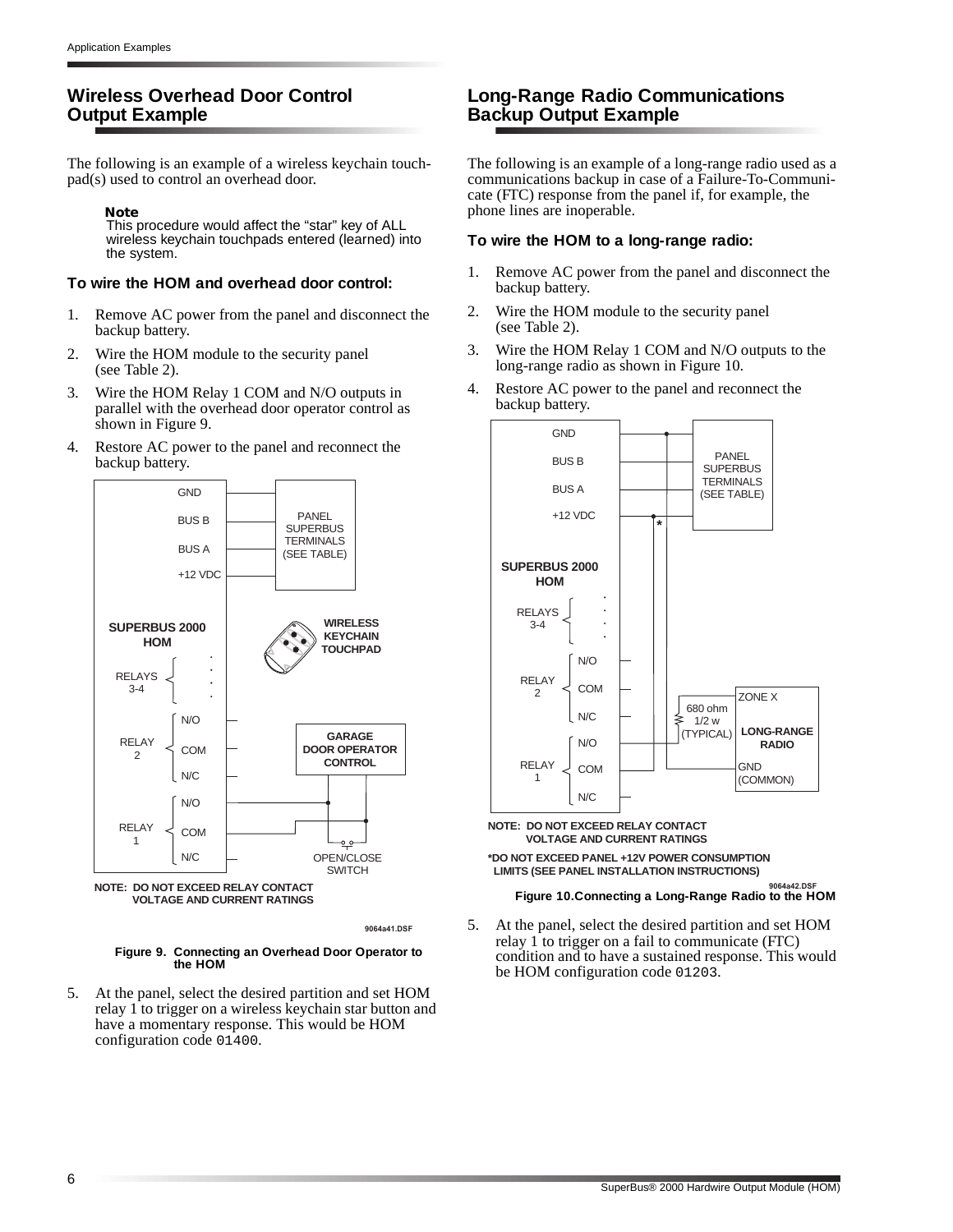### **Wireless Overhead Door Control Output Example**

The following is an example of a wireless keychain touchpad(s) used to control an overhead door.

#### **Note**

This procedure would affect the "star" key of ALL wireless keychain touchpads entered (learned) into the system.

#### **To wire the HOM and overhead door control:**

- 1. Remove AC power from the panel and disconnect the backup battery.
- 2. Wire the HOM module to the security panel (see [Table 2\)](#page-2-0).
- 3. Wire the HOM Relay 1 COM and N/O outputs in parallel with the overhead door operator control as shown in Figure 9.
- 4. Restore AC power to the panel and reconnect the backup battery.



**9 0 6 4 a 4 1 .D S F**

**Figure 9. Connecting an Overhead Door Operator to the HOM**

5. At the panel, select the desired partition and set HOM relay 1 to trigger on a wireless keychain star button and have a momentary response. This would be HOM configuration code 01400.

### **Long-Range Radio Communications Backup Output Example**

The following is an example of a long-range radio used as a communications backup in case of a Failure-To-Communicate (FTC) response from the panel if, for example, the phone lines are inoperable.

#### **To wire the HOM to a long-range radio:**

- 1. Remove AC power from the panel and disconnect the backup battery.
- 2. Wire the HOM module to the security panel (see [Table 2\)](#page-2-0).
- 3. Wire the HOM Relay 1 COM and N/O outputs to the long-range radio as shown in Figure 10.
- 4. Restore AC power to the panel and reconnect the backup battery.



#### **NOTE: DO NOT EXCEED RELAY CONTACT VOLTAGE AND CURRENT RATINGS**

**\*DO NOT EXCEED PANEL +12V POWER CONSUMPTION LIMITS (SEE PANEL INSTALLATION INSTRUCTIONS)** 

**Figure 10.Connecting a Long-Range Radio to the HOM 9 0 6 4 a 4 2 .D S F**

5. At the panel, select the desired partition and set HOM relay 1 to trigger on a fail to communicate (FTC) condition and to have a sustained response. This would be HOM configuration code 01203.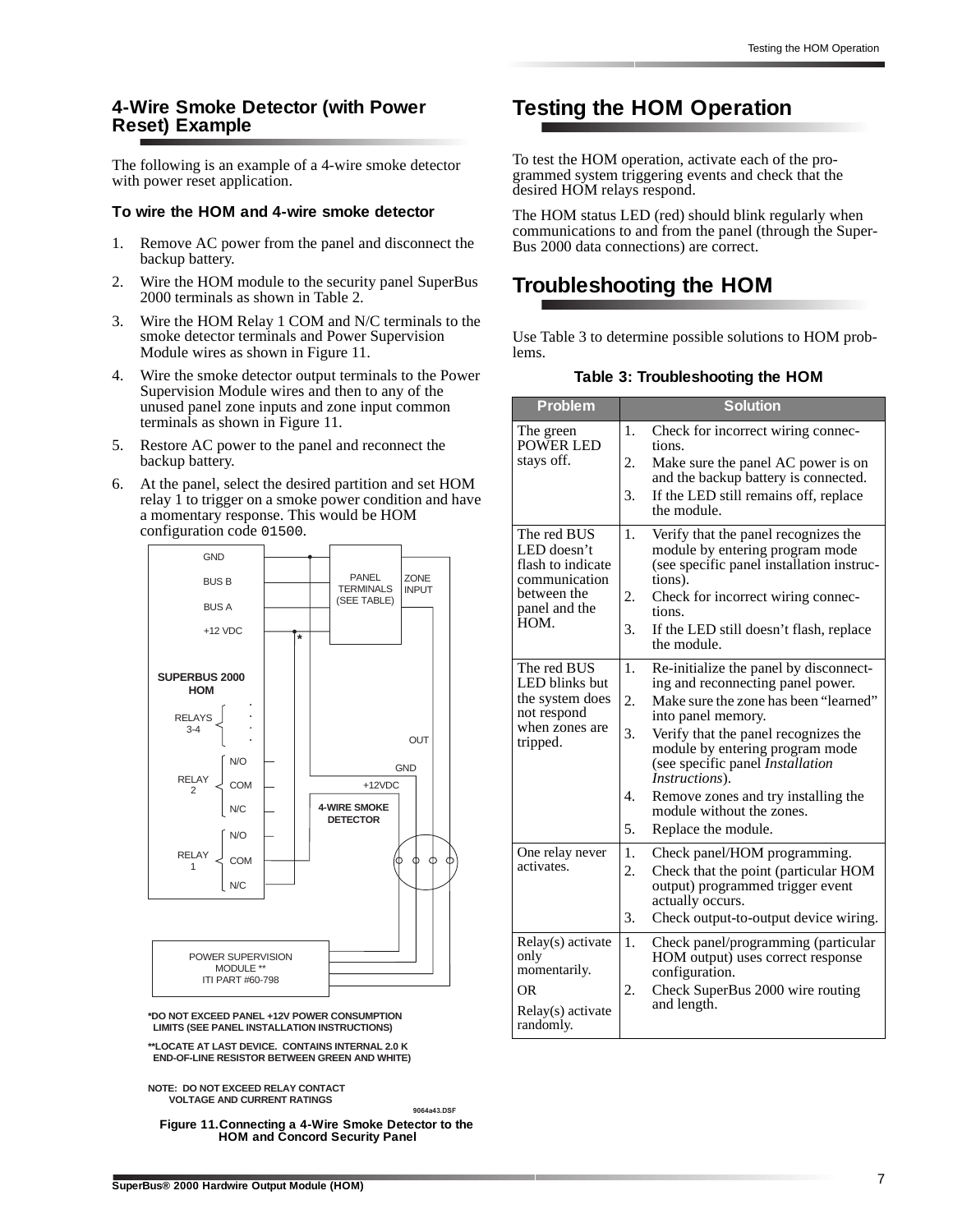### **4-Wire Smoke Detector (with Power Reset) Example**

The following is an example of a 4-wire smoke detector with power reset application.

#### **To wire the HOM and 4-wire smoke detector**

- 1. Remove AC power from the panel and disconnect the backup battery.
- 2. Wire the HOM module to the security panel SuperBus 2000 terminals as shown in [Table 2](#page-2-0).
- 3. Wire the HOM Relay 1 COM and N/C terminals to the smoke detector terminals and Power Supervision Module wires as shown in Figure 11.
- 4. Wire the smoke detector output terminals to the Power Supervision Module wires and then to any of the unused panel zone inputs and zone input common terminals as shown in Figure 11.
- 5. Restore AC power to the panel and reconnect the backup battery.
- 6. At the panel, select the desired partition and set HOM relay 1 to trigger on a smoke power condition and have a momentary response. This would be HOM configuration code 01500.



**\*DO NOT EXCEED PANEL +12V POWER CONSUMPTION LIMITS (SEE PANEL INSTALLATION INSTRUCTIONS)** 

**\*\*LOCATE AT LAST DEVICE. CONTAINS INTERNAL 2.0 K END-OF-LINE RESISTOR BETWEEN GREEN AND WHITE)** 

**NOTE: DO NOT EXCEED RELAY CONTACT VOLTAGE AND CURRENT RATINGS**

**Figure 11.Connecting a 4-Wire Smoke Detector to the HOM and Concord Security Panel**

**9 0 6 4 a 4 3 .D S F**

## **Testing the HOM Operation**

To test the HOM operation, activate each of the programmed system triggering events and check that the desired HOM relays respond.

The HOM status LED (red) should blink regularly when communications to and from the panel (through the Super-Bus 2000 data connections) are correct.

## **Troubleshooting the HOM**

Use Table 3 to determine possible solutions to HOM problems.

**Table 3: Troubleshooting the HOM**

| <b>Problem</b>                                                                                           | <b>Solution</b>                                                                                                                                                                                                                                                                                                                                                                                             |  |
|----------------------------------------------------------------------------------------------------------|-------------------------------------------------------------------------------------------------------------------------------------------------------------------------------------------------------------------------------------------------------------------------------------------------------------------------------------------------------------------------------------------------------------|--|
| The green<br>POWER LED<br>stays off.                                                                     | 1.<br>Check for incorrect wiring connec-<br>tions.<br>Make sure the panel AC power is on<br>2.<br>and the backup battery is connected.<br>3.<br>If the LED still remains off, replace<br>the module.                                                                                                                                                                                                        |  |
| The red BUS<br>LED doesn't<br>flash to indicate<br>communication<br>between the<br>panel and the<br>HOM. | 1.<br>Verify that the panel recognizes the<br>module by entering program mode<br>(see specific panel installation instruc-<br>tions).<br>2.<br>Check for incorrect wiring connec-<br>tions.<br>If the LED still doesn't flash, replace<br>3.<br>the module.                                                                                                                                                 |  |
| The red BUS<br>LED blinks but<br>the system does<br>not respond<br>when zones are<br>tripped.            | Re-initialize the panel by disconnect-<br>1.<br>ing and reconnecting panel power.<br>Make sure the zone has been "learned"<br>2.<br>into panel memory.<br>3.<br>Verify that the panel recognizes the<br>module by entering program mode<br>(see specific panel <i>Installation</i><br>Instructions).<br>4.<br>Remove zones and try installing the<br>module without the zones.<br>5.<br>Replace the module. |  |
| One relay never<br>activates.                                                                            | 1.<br>Check panel/HOM programming.<br>2.<br>Check that the point (particular HOM<br>output) programmed trigger event<br>actually occurs.<br>3.<br>Check output-to-output device wiring.                                                                                                                                                                                                                     |  |
| Relay(s) activate<br>only<br>momentarily.<br>0R.<br>Relay(s) activate<br>randomly.                       | 1.<br>Check panel/programming (particular<br>HOM output) uses correct response<br>configuration.<br>2.<br>Check SuperBus 2000 wire routing<br>and length.                                                                                                                                                                                                                                                   |  |